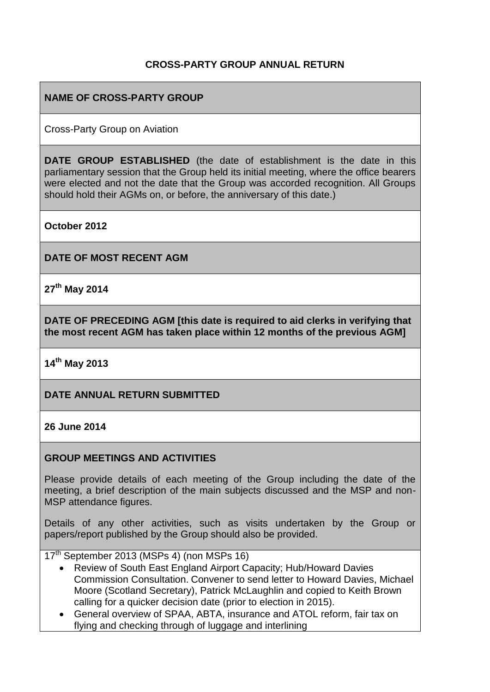### **CROSS-PARTY GROUP ANNUAL RETURN**

## **NAME OF CROSS-PARTY GROUP**

Cross-Party Group on Aviation

**DATE GROUP ESTABLISHED** (the date of establishment is the date in this parliamentary session that the Group held its initial meeting, where the office bearers were elected and not the date that the Group was accorded recognition. All Groups should hold their AGMs on, or before, the anniversary of this date.)

**October 2012**

**DATE OF MOST RECENT AGM**

**27th May 2014**

**DATE OF PRECEDING AGM [this date is required to aid clerks in verifying that the most recent AGM has taken place within 12 months of the previous AGM]**

**14th May 2013**

### **DATE ANNUAL RETURN SUBMITTED**

### **26 June 2014**

### **GROUP MEETINGS AND ACTIVITIES**

Please provide details of each meeting of the Group including the date of the meeting, a brief description of the main subjects discussed and the MSP and non-MSP attendance figures.

Details of any other activities, such as visits undertaken by the Group or papers/report published by the Group should also be provided.

17<sup>th</sup> September 2013 (MSPs 4) (non MSPs 16)

- Review of South East England Airport Capacity; Hub/Howard Davies Commission Consultation. Convener to send letter to Howard Davies, Michael Moore (Scotland Secretary), Patrick McLaughlin and copied to Keith Brown calling for a quicker decision date (prior to election in 2015).
- General overview of SPAA, ABTA, insurance and ATOL reform, fair tax on flying and checking through of luggage and interlining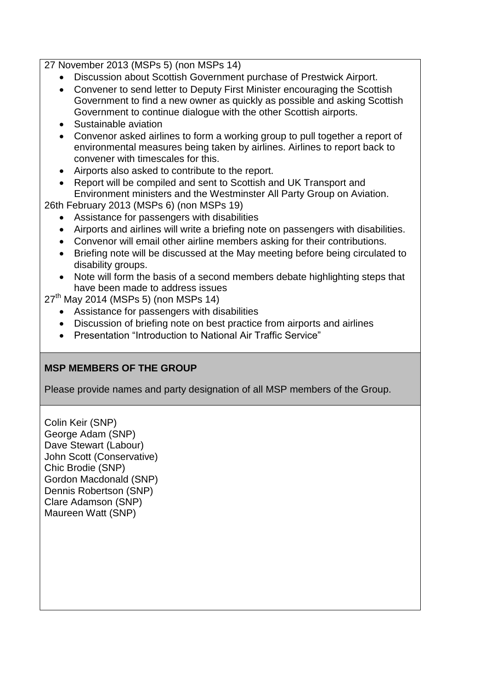27 November 2013 (MSPs 5) (non MSPs 14)

- Discussion about Scottish Government purchase of Prestwick Airport.
- Convener to send letter to Deputy First Minister encouraging the Scottish Government to find a new owner as quickly as possible and asking Scottish Government to continue dialogue with the other Scottish airports.
- Sustainable aviation
- Convenor asked airlines to form a working group to pull together a report of environmental measures being taken by airlines. Airlines to report back to convener with timescales for this.
- Airports also asked to contribute to the report.
- Report will be compiled and sent to Scottish and UK Transport and Environment ministers and the Westminster All Party Group on Aviation.

26th February 2013 (MSPs 6) (non MSPs 19)

- Assistance for passengers with disabilities
- Airports and airlines will write a briefing note on passengers with disabilities.
- Convenor will email other airline members asking for their contributions.
- Briefing note will be discussed at the May meeting before being circulated to disability groups.
- Note will form the basis of a second members debate highlighting steps that have been made to address issues

 $27<sup>th</sup>$  May 2014 (MSPs 5) (non MSPs 14)

- Assistance for passengers with disabilities
- Discussion of briefing note on best practice from airports and airlines
- Presentation "Introduction to National Air Traffic Service"

### **MSP MEMBERS OF THE GROUP**

Please provide names and party designation of all MSP members of the Group.

Colin Keir (SNP) George Adam (SNP) Dave Stewart (Labour) John Scott (Conservative) Chic Brodie (SNP) Gordon Macdonald (SNP) Dennis Robertson (SNP) Clare Adamson (SNP) Maureen Watt (SNP)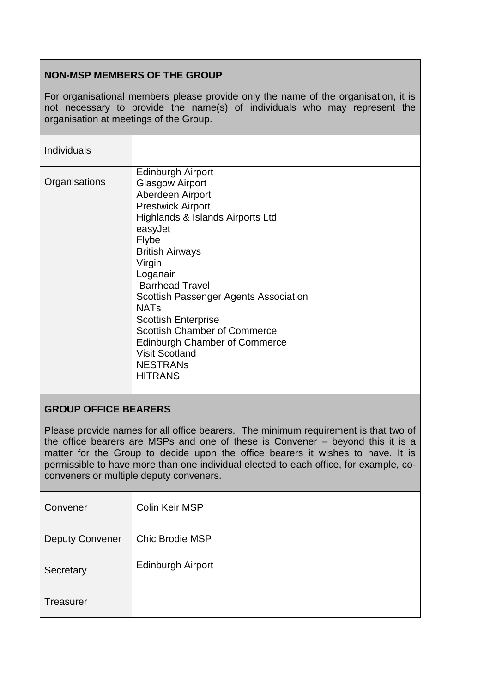# **NON-MSP MEMBERS OF THE GROUP**

For organisational members please provide only the name of the organisation, it is not necessary to provide the name(s) of individuals who may represent the organisation at meetings of the Group.

| <b>Individuals</b> |                                                                                                                                                                                                                                                                                                                                                                                                                                                                         |
|--------------------|-------------------------------------------------------------------------------------------------------------------------------------------------------------------------------------------------------------------------------------------------------------------------------------------------------------------------------------------------------------------------------------------------------------------------------------------------------------------------|
| Organisations      | <b>Edinburgh Airport</b><br><b>Glasgow Airport</b><br>Aberdeen Airport<br><b>Prestwick Airport</b><br>Highlands & Islands Airports Ltd<br>easyJet<br>Flybe<br><b>British Airways</b><br>Virgin<br>Loganair<br><b>Barrhead Travel</b><br>Scottish Passenger Agents Association<br><b>NATs</b><br><b>Scottish Enterprise</b><br><b>Scottish Chamber of Commerce</b><br><b>Edinburgh Chamber of Commerce</b><br><b>Visit Scotland</b><br><b>NESTRANS</b><br><b>HITRANS</b> |

### **GROUP OFFICE BEARERS**

Please provide names for all office bearers. The minimum requirement is that two of the office bearers are MSPs and one of these is Convener – beyond this it is a matter for the Group to decide upon the office bearers it wishes to have. It is permissible to have more than one individual elected to each office, for example, coconveners or multiple deputy conveners.

| Convener               | <b>Colin Keir MSP</b>    |
|------------------------|--------------------------|
| <b>Deputy Convener</b> | <b>Chic Brodie MSP</b>   |
| Secretary              | <b>Edinburgh Airport</b> |
| <b>Treasurer</b>       |                          |